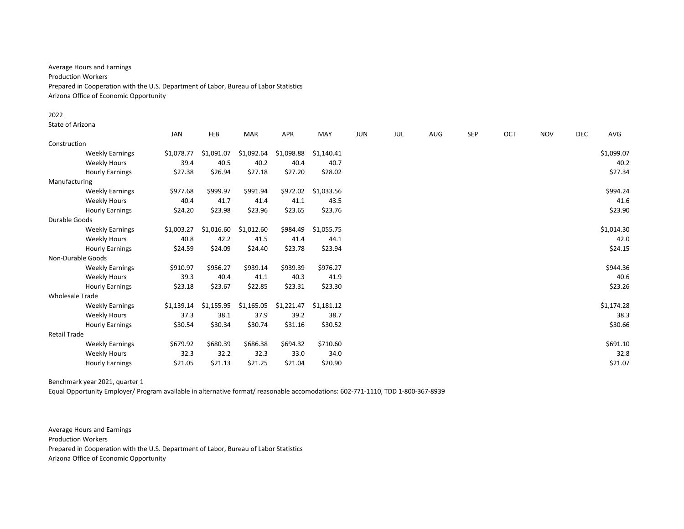Average Hours and Earnings Production Workers Prepared in Cooperation with the U.S. Department of Labor, Bureau of Labor Statistics Arizona Office of Economic Opportunity

#### 2022

State of Arizona

|                        |                        | <b>JAN</b> | FEB        | <b>MAR</b> | <b>APR</b> | MAY        | <b>JUN</b> | JUL | AUG | <b>SEP</b> | <b>OCT</b> | <b>NOV</b> | <b>DEC</b> | AVG        |
|------------------------|------------------------|------------|------------|------------|------------|------------|------------|-----|-----|------------|------------|------------|------------|------------|
| Construction           |                        |            |            |            |            |            |            |     |     |            |            |            |            |            |
|                        | <b>Weekly Earnings</b> | \$1,078.77 | \$1,091.07 | \$1,092.64 | \$1,098.88 | \$1,140.41 |            |     |     |            |            |            |            | \$1,099.07 |
|                        | <b>Weekly Hours</b>    | 39.4       | 40.5       | 40.2       | 40.4       | 40.7       |            |     |     |            |            |            |            | 40.2       |
|                        | <b>Hourly Earnings</b> | \$27.38    | \$26.94    | \$27.18    | \$27.20    | \$28.02    |            |     |     |            |            |            |            | \$27.34    |
| Manufacturing          |                        |            |            |            |            |            |            |     |     |            |            |            |            |            |
|                        | <b>Weekly Earnings</b> | \$977.68   | \$999.97   | \$991.94   | \$972.02   | \$1,033.56 |            |     |     |            |            |            |            | \$994.24   |
|                        | <b>Weekly Hours</b>    | 40.4       | 41.7       | 41.4       | 41.1       | 43.5       |            |     |     |            |            |            |            | 41.6       |
|                        | <b>Hourly Earnings</b> | \$24.20    | \$23.98    | \$23.96    | \$23.65    | \$23.76    |            |     |     |            |            |            |            | \$23.90    |
| Durable Goods          |                        |            |            |            |            |            |            |     |     |            |            |            |            |            |
|                        | <b>Weekly Earnings</b> | \$1,003.27 | \$1,016.60 | \$1,012.60 | \$984.49   | \$1,055.75 |            |     |     |            |            |            |            | \$1,014.30 |
|                        | <b>Weekly Hours</b>    | 40.8       | 42.2       | 41.5       | 41.4       | 44.1       |            |     |     |            |            |            |            | 42.0       |
|                        | <b>Hourly Earnings</b> | \$24.59    | \$24.09    | \$24.40    | \$23.78    | \$23.94    |            |     |     |            |            |            |            | \$24.15    |
| Non-Durable Goods      |                        |            |            |            |            |            |            |     |     |            |            |            |            |            |
|                        | <b>Weekly Earnings</b> | \$910.97   | \$956.27   | \$939.14   | \$939.39   | \$976.27   |            |     |     |            |            |            |            | \$944.36   |
|                        | <b>Weekly Hours</b>    | 39.3       | 40.4       | 41.1       | 40.3       | 41.9       |            |     |     |            |            |            |            | 40.6       |
|                        | <b>Hourly Earnings</b> | \$23.18    | \$23.67    | \$22.85    | \$23.31    | \$23.30    |            |     |     |            |            |            |            | \$23.26    |
| <b>Wholesale Trade</b> |                        |            |            |            |            |            |            |     |     |            |            |            |            |            |
|                        | <b>Weekly Earnings</b> | \$1,139.14 | \$1,155.95 | \$1,165.05 | \$1,221.47 | \$1,181.12 |            |     |     |            |            |            |            | \$1,174.28 |
|                        | <b>Weekly Hours</b>    | 37.3       | 38.1       | 37.9       | 39.2       | 38.7       |            |     |     |            |            |            |            | 38.3       |
|                        | <b>Hourly Earnings</b> | \$30.54    | \$30.34    | \$30.74    | \$31.16    | \$30.52    |            |     |     |            |            |            |            | \$30.66    |
| <b>Retail Trade</b>    |                        |            |            |            |            |            |            |     |     |            |            |            |            |            |
|                        | <b>Weekly Earnings</b> | \$679.92   | \$680.39   | \$686.38   | \$694.32   | \$710.60   |            |     |     |            |            |            |            | \$691.10   |
|                        | <b>Weekly Hours</b>    | 32.3       | 32.2       | 32.3       | 33.0       | 34.0       |            |     |     |            |            |            |            | 32.8       |
|                        | <b>Hourly Earnings</b> | \$21.05    | \$21.13    | \$21.25    | \$21.04    | \$20.90    |            |     |     |            |            |            |            | \$21.07    |

# Benchmark year 2021, quarter 1

Equal Opportunity Employer/ Program available in alternative format/ reasonable accomodations: 602-771-1110, TDD 1-800-367-8939

Average Hours and Earnings Production Workers Prepared in Cooperation with the U.S. Department of Labor, Bureau of Labor Statistics Arizona Office of Economic Opportunity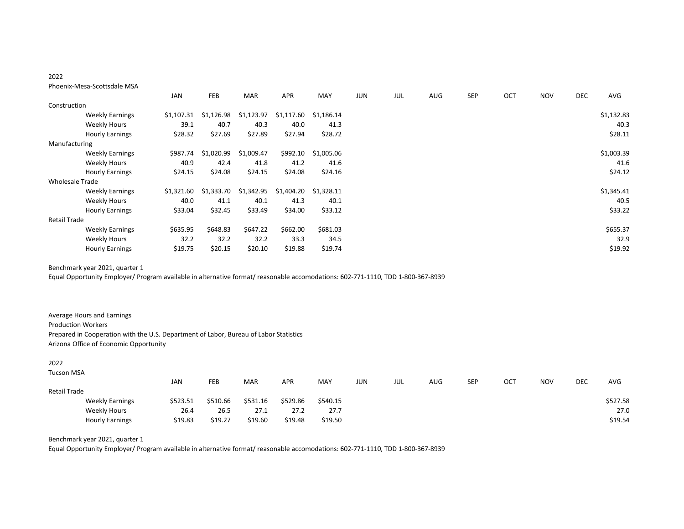# 2022

## Phoenix-Mesa-Scottsdale MSA

|                        |                        | <b>JAN</b> | <b>FEB</b> | <b>MAR</b> | <b>APR</b> | MAY        | JUN | JUL | AUG | SEP | <b>OCT</b> | <b>NOV</b> | DEC | AVG        |
|------------------------|------------------------|------------|------------|------------|------------|------------|-----|-----|-----|-----|------------|------------|-----|------------|
| Construction           |                        |            |            |            |            |            |     |     |     |     |            |            |     |            |
|                        | <b>Weekly Earnings</b> | \$1,107.31 | \$1,126.98 | \$1,123.97 | \$1,117.60 | \$1,186.14 |     |     |     |     |            |            |     | \$1,132.83 |
|                        | <b>Weekly Hours</b>    | 39.1       | 40.7       | 40.3       | 40.0       | 41.3       |     |     |     |     |            |            |     | 40.3       |
|                        | <b>Hourly Earnings</b> | \$28.32    | \$27.69    | \$27.89    | \$27.94    | \$28.72    |     |     |     |     |            |            |     | \$28.11    |
| Manufacturing          |                        |            |            |            |            |            |     |     |     |     |            |            |     |            |
|                        | <b>Weekly Earnings</b> | \$987.74   | \$1,020.99 | \$1,009.47 | \$992.10   | \$1,005.06 |     |     |     |     |            |            |     | \$1,003.39 |
|                        | <b>Weekly Hours</b>    | 40.9       | 42.4       | 41.8       | 41.2       | 41.6       |     |     |     |     |            |            |     | 41.6       |
|                        | <b>Hourly Earnings</b> | \$24.15    | \$24.08    | \$24.15    | \$24.08    | \$24.16    |     |     |     |     |            |            |     | \$24.12    |
| <b>Wholesale Trade</b> |                        |            |            |            |            |            |     |     |     |     |            |            |     |            |
|                        | <b>Weekly Earnings</b> | \$1,321.60 | \$1,333.70 | \$1,342.95 | \$1,404.20 | \$1,328.11 |     |     |     |     |            |            |     | \$1,345.41 |
|                        | <b>Weekly Hours</b>    | 40.0       | 41.1       | 40.1       | 41.3       | 40.1       |     |     |     |     |            |            |     | 40.5       |
|                        | <b>Hourly Earnings</b> | \$33.04    | \$32.45    | \$33.49    | \$34.00    | \$33.12    |     |     |     |     |            |            |     | \$33.22    |
| <b>Retail Trade</b>    |                        |            |            |            |            |            |     |     |     |     |            |            |     |            |
|                        | <b>Weekly Earnings</b> | \$635.95   | \$648.83   | \$647.22   | \$662.00   | \$681.03   |     |     |     |     |            |            |     | \$655.37   |
|                        | <b>Weekly Hours</b>    | 32.2       | 32.2       | 32.2       | 33.3       | 34.5       |     |     |     |     |            |            |     | 32.9       |
|                        | <b>Hourly Earnings</b> | \$19.75    | \$20.15    | \$20.10    | \$19.88    | \$19.74    |     |     |     |     |            |            |     | \$19.92    |

Benchmark year 2021, quarter 1

Equal Opportunity Employer/ Program available in alternative format/ reasonable accomodations: 602-771-1110, TDD 1-800-367-8939

Average Hours and Earnings Production Workers Prepared in Cooperation with the U.S. Department of Labor, Bureau of Labor Statistics Arizona Office of Economic Opportunity

## 2022

| <b>Tucson MSA</b> |                        |            |          |            |            |          |     |     |     |            |     |            |     |            |
|-------------------|------------------------|------------|----------|------------|------------|----------|-----|-----|-----|------------|-----|------------|-----|------------|
|                   |                        | <b>JAN</b> | FEB      | <b>MAR</b> | <b>APR</b> | MAY      | jun | JUL | AUG | <b>SEP</b> | OCT | <b>NOV</b> | DEC | <b>AVG</b> |
| Retail Trade      |                        |            |          |            |            |          |     |     |     |            |     |            |     |            |
|                   | <b>Weekly Earnings</b> | \$523.51   | \$510.66 | \$531.16   | \$529.86   | \$540.15 |     |     |     |            |     |            |     | \$527.58   |
|                   | Weekly Hours           | 26.4       | 26.5     | 27.1       | 27.2       | 27.7     |     |     |     |            |     |            |     | 27.0       |
|                   | <b>Hourly Earnings</b> | \$19.83    | \$19.27  | \$19.60    | \$19.48    | \$19.50  |     |     |     |            |     |            |     | \$19.54    |

Benchmark year 2021, quarter 1

Equal Opportunity Employer/ Program available in alternative format/ reasonable accomodations: 602-771-1110, TDD 1-800-367-8939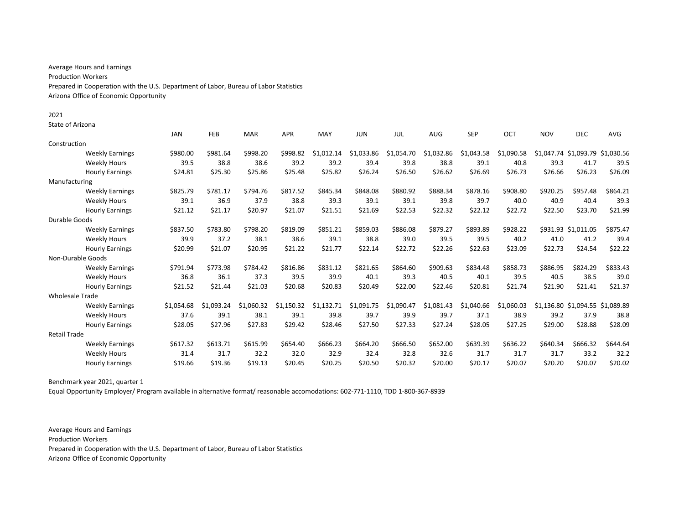Average Hours and Earnings Production Workers Prepared in Cooperation with the U.S. Department of Labor, Bureau of Labor Statistics Arizona Office of Economic Opportunity

State of Arizona

|                        |                        | JAN        | FEB        | <b>MAR</b> | <b>APR</b> | MAY        | <b>JUN</b> | JUL        | <b>AUG</b> | <b>SEP</b> | OCT        | <b>NOV</b> | <b>DEC</b>                       | <b>AVG</b> |
|------------------------|------------------------|------------|------------|------------|------------|------------|------------|------------|------------|------------|------------|------------|----------------------------------|------------|
| Construction           |                        |            |            |            |            |            |            |            |            |            |            |            |                                  |            |
|                        | <b>Weekly Earnings</b> | \$980.00   | \$981.64   | \$998.20   | \$998.82   | \$1.012.14 | \$1,033.86 | \$1,054.70 | \$1,032.86 | \$1,043.58 | \$1,090.58 |            | \$1,047.74 \$1,093.79 \$1,030.56 |            |
|                        | <b>Weekly Hours</b>    | 39.5       | 38.8       | 38.6       | 39.2       | 39.2       | 39.4       | 39.8       | 38.8       | 39.1       | 40.8       | 39.3       | 41.7                             | 39.5       |
|                        | <b>Hourly Earnings</b> | \$24.81    | \$25.30    | \$25.86    | \$25.48    | \$25.82    | \$26.24    | \$26.50    | \$26.62    | \$26.69    | \$26.73    | \$26.66    | \$26.23                          | \$26.09    |
| Manufacturing          |                        |            |            |            |            |            |            |            |            |            |            |            |                                  |            |
|                        | <b>Weekly Earnings</b> | \$825.79   | \$781.17   | \$794.76   | \$817.52   | \$845.34   | \$848.08   | \$880.92   | \$888.34   | \$878.16   | \$908.80   | \$920.25   | \$957.48                         | \$864.21   |
|                        | <b>Weekly Hours</b>    | 39.1       | 36.9       | 37.9       | 38.8       | 39.3       | 39.1       | 39.1       | 39.8       | 39.7       | 40.0       | 40.9       | 40.4                             | 39.3       |
|                        | <b>Hourly Earnings</b> | \$21.12    | \$21.17    | \$20.97    | \$21.07    | \$21.51    | \$21.69    | \$22.53    | \$22.32    | \$22.12    | \$22.72    | \$22.50    | \$23.70                          | \$21.99    |
| Durable Goods          |                        |            |            |            |            |            |            |            |            |            |            |            |                                  |            |
|                        | <b>Weekly Earnings</b> | \$837.50   | \$783.80   | \$798.20   | \$819.09   | \$851.21   | \$859.03   | \$886.08   | \$879.27   | \$893.89   | \$928.22   |            | \$931.93 \$1,011.05              | \$875.47   |
|                        | <b>Weekly Hours</b>    | 39.9       | 37.2       | 38.1       | 38.6       | 39.1       | 38.8       | 39.0       | 39.5       | 39.5       | 40.2       | 41.0       | 41.2                             | 39.4       |
|                        | <b>Hourly Earnings</b> | \$20.99    | \$21.07    | \$20.95    | \$21.22    | \$21.77    | \$22.14    | \$22.72    | \$22.26    | \$22.63    | \$23.09    | \$22.73    | \$24.54                          | \$22.22    |
| Non-Durable Goods      |                        |            |            |            |            |            |            |            |            |            |            |            |                                  |            |
|                        | <b>Weekly Earnings</b> | \$791.94   | \$773.98   | \$784.42   | \$816.86   | \$831.12   | \$821.65   | \$864.60   | \$909.63   | \$834.48   | \$858.73   | \$886.95   | \$824.29                         | \$833.43   |
|                        | <b>Weekly Hours</b>    | 36.8       | 36.1       | 37.3       | 39.5       | 39.9       | 40.1       | 39.3       | 40.5       | 40.1       | 39.5       | 40.5       | 38.5                             | 39.0       |
|                        | <b>Hourly Earnings</b> | \$21.52    | \$21.44    | \$21.03    | \$20.68    | \$20.83    | \$20.49    | \$22.00    | \$22.46    | \$20.81    | \$21.74    | \$21.90    | \$21.41                          | \$21.37    |
| <b>Wholesale Trade</b> |                        |            |            |            |            |            |            |            |            |            |            |            |                                  |            |
|                        | <b>Weekly Earnings</b> | \$1.054.68 | \$1.093.24 | \$1.060.32 | \$1,150.32 | \$1,132.71 | \$1,091.75 | \$1,090.47 | \$1,081.43 | \$1,040.66 | \$1,060.03 |            | \$1,136.80 \$1,094.55 \$1,089.89 |            |
|                        | <b>Weekly Hours</b>    | 37.6       | 39.1       | 38.1       | 39.1       | 39.8       | 39.7       | 39.9       | 39.7       | 37.1       | 38.9       | 39.2       | 37.9                             | 38.8       |
|                        | <b>Hourly Earnings</b> | \$28.05    | \$27.96    | \$27.83    | \$29.42    | \$28.46    | \$27.50    | \$27.33    | \$27.24    | \$28.05    | \$27.25    | \$29.00    | \$28.88                          | \$28.09    |
| <b>Retail Trade</b>    |                        |            |            |            |            |            |            |            |            |            |            |            |                                  |            |
|                        | <b>Weekly Earnings</b> | \$617.32   | \$613.71   | \$615.99   | \$654.40   | \$666.23   | \$664.20   | \$666.50   | \$652.00   | \$639.39   | \$636.22   | \$640.34   | \$666.32                         | \$644.64   |
|                        | <b>Weekly Hours</b>    | 31.4       | 31.7       | 32.2       | 32.0       | 32.9       | 32.4       | 32.8       | 32.6       | 31.7       | 31.7       | 31.7       | 33.2                             | 32.2       |
|                        | <b>Hourly Earnings</b> | \$19.66    | \$19.36    | \$19.13    | \$20.45    | \$20.25    | \$20.50    | \$20.32    | \$20.00    | \$20.17    | \$20.07    | \$20.20    | \$20.07                          | \$20.02    |

Benchmark year 2021, quarter 1

Equal Opportunity Employer/ Program available in alternative format/ reasonable accomodations: 602-771-1110, TDD 1-800-367-8939

Average Hours and Earnings Production Workers Prepared in Cooperation with the U.S. Department of Labor, Bureau of Labor Statistics Arizona Office of Economic Opportunity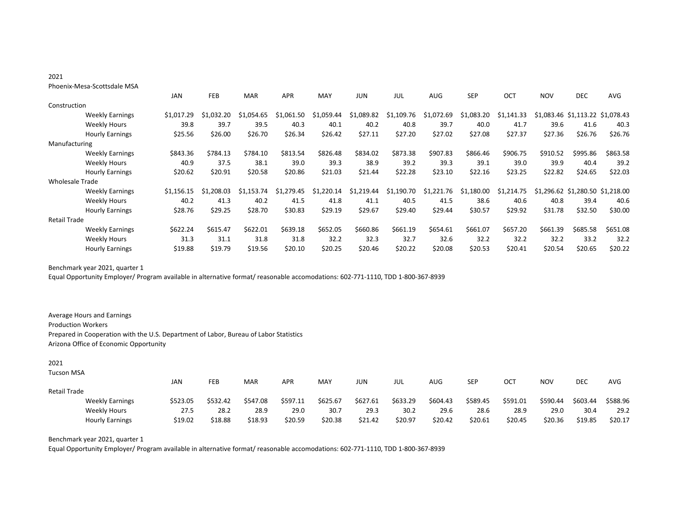# 2021

## Phoenix-Mesa-Scottsdale MSA

|                        |                        | <b>JAN</b> | <b>FEB</b>     | <b>MAR</b> | <b>APR</b>     | MAY            | JUN        | JUL        | <b>AUG</b>       | <b>SEP</b>     | OCT        | <b>NOV</b> | <b>DEC</b>                       | AVG      |
|------------------------|------------------------|------------|----------------|------------|----------------|----------------|------------|------------|------------------|----------------|------------|------------|----------------------------------|----------|
| Construction           |                        |            |                |            |                |                |            |            |                  |                |            |            |                                  |          |
|                        | <b>Weekly Earnings</b> | \$1,017.29 | \$1.032.20     | \$1.054.65 | \$1,061<br>50  | \$1.059.44     | \$1,089.82 | \$1,109.76 | 2.69<br>\$1,072. | .083.20<br>\$1 | \$1,141.33 |            | \$1,083.46 \$1,113.22 \$1,078.43 |          |
|                        | <b>Weekly Hours</b>    | 39.8       | 39.7           | 39.5       | 40.3           | 40.1           | 40.2       | 40.8       | 39.7             | 40.0           | 41.7       | 39.6       | 41.6                             | 40.3     |
|                        | <b>Hourly Earnings</b> | \$25.56    | \$26.00        | \$26.70    | \$26.34        | \$26.42        | \$27.11    | \$27.20    | \$27.02          | \$27.08        | \$27.37    | \$27.36    | \$26.76                          | \$26.76  |
| Manufacturing          |                        |            |                |            |                |                |            |            |                  |                |            |            |                                  |          |
|                        | <b>Weekly Earnings</b> | \$843.36   | \$784.13       | \$784.10   | \$813.54       | \$826.48       | \$834.02   | \$873.38   | \$907.83         | \$866.46       | \$906.75   | \$910.52   | \$995.86                         | \$863.58 |
|                        | <b>Weekly Hours</b>    | 40.9       | 37.5           | 38.1       | 39.0           | 39.3           | 38.9       | 39.2       | 39.3             | 39.1           | 39.0       | 39.9       | 40.4                             | 39.2     |
|                        | <b>Hourly Earnings</b> | \$20.62    | \$20.91        | \$20.58    | \$20.86        | \$21.03        | \$21.44    | \$22.28    | \$23.10          | \$22.16        | \$23.25    | \$22.82    | \$24.65                          | \$22.03  |
| <b>Wholesale Trade</b> |                        |            |                |            |                |                |            |            |                  |                |            |            |                                  |          |
|                        | <b>Weekly Earnings</b> | \$1,156.15 | \$1<br>.208.03 | \$1.153.74 | .279.45<br>\$1 | .220.14<br>\$1 | \$1,219.44 | \$1,190.70 | \$1,221.76       | \$1,180.00     | \$1,214.75 |            | \$1,296.62 \$1,280.50 \$1,218.00 |          |
|                        | <b>Weekly Hours</b>    | 40.2       | 41.3           | 40.2       | 41.5           | 41.8           | 41.1       | 40.5       | 41.5             | 38.6           | 40.6       | 40.8       | 39.4                             | 40.6     |
|                        | <b>Hourly Earnings</b> | \$28.76    | \$29.25        | \$28.70    | \$30.83        | \$29.19        | \$29.67    | \$29.40    | \$29.44          | \$30.57        | \$29.92    | \$31.78    | \$32.50                          | \$30.00  |
| <b>Retail Trade</b>    |                        |            |                |            |                |                |            |            |                  |                |            |            |                                  |          |
|                        | <b>Weekly Earnings</b> | \$622.24   | \$615.47       | \$622.01   | \$639.18       | \$652.05       | \$660.86   | \$661.19   | \$654.61         | \$661.07       | \$657.20   | \$661.39   | \$685.58                         | \$651.08 |
|                        | <b>Weekly Hours</b>    | 31.3       | 31.1           | 31.8       | 31.8           | 32.2           | 32.3       | 32.7       | 32.6             | 32.2           | 32.2       | 32.2       | 33.2                             | 32.2     |
|                        | <b>Hourly Earnings</b> | \$19.88    | \$19.79        | \$19.56    | \$20.10        | \$20.25        | \$20.46    | \$20.22    | \$20.08          | \$20.53        | \$20.41    | \$20.54    | \$20.65                          | \$20.22  |

Benchmark year 2021, quarter 1

Equal Opportunity Employer/ Program available in alternative format/ reasonable accomodations: 602-771-1110, TDD 1-800-367-8939

Average Hours and Earnings Production Workers Prepared in Cooperation with the U.S. Department of Labor, Bureau of Labor Statistics Arizona Office of Economic Opportunity

## 2021

# Tucson MSA

|              |                        | JAN      | FEB      | MAR      | APR      | MAY      | jun      | JUL      | AUG      | SEP      | ост      | <b>NOV</b> | DEC      | AVG      |
|--------------|------------------------|----------|----------|----------|----------|----------|----------|----------|----------|----------|----------|------------|----------|----------|
| Retail Trade |                        |          |          |          |          |          |          |          |          |          |          |            |          |          |
|              | <b>Weekly Earnings</b> | \$523.05 | \$532.42 | \$547.08 | \$597.11 | \$625.67 | \$627.61 | \$633.29 | \$604.43 | \$589.45 | \$591.01 | \$590.44   | \$603.44 | \$588.96 |
|              | Weekly Hours           | 27.5     | 28.2     | 28.9     | 29.0     | 30.7     | 29.3     | 30.2     | 29.6     | 28.6     | 28.9     | 29.0       | 30.4     | 29.2     |
|              | <b>Hourly Earnings</b> | \$19.02  | \$18.88  | \$18.93  | \$20.59  | \$20.38  | \$21.42  | \$20.97  | \$20.42  | \$20.61  | \$20.45  | \$20.36    | \$19.85  | \$20.17  |

Benchmark year 2021, quarter 1

Equal Opportunity Employer/ Program available in alternative format/ reasonable accomodations: 602-771-1110, TDD 1-800-367-8939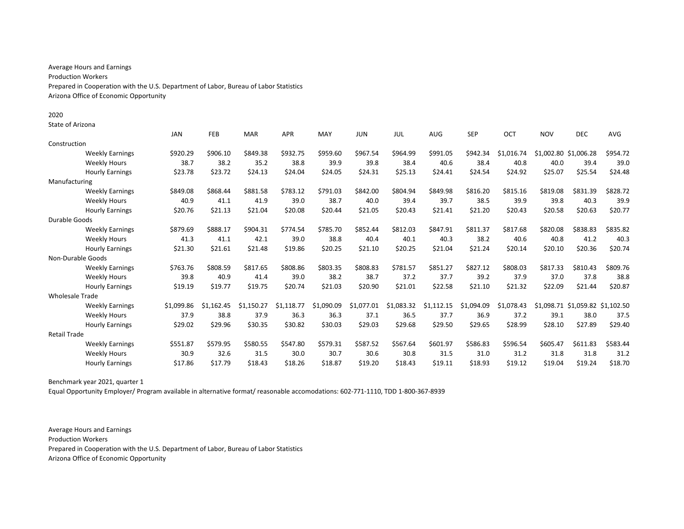Average Hours and Earnings Production Workers Prepared in Cooperation with the U.S. Department of Labor, Bureau of Labor Statistics Arizona Office of Economic Opportunity

State of Arizona

|                        |                        | <b>JAN</b> | FEB        | <b>MAR</b> | <b>APR</b> | MAY        | <b>JUN</b> | JUL        | <b>AUG</b> | <b>SEP</b> | <b>OCT</b> | <b>NOV</b> | <b>DEC</b>                       | <b>AVG</b> |
|------------------------|------------------------|------------|------------|------------|------------|------------|------------|------------|------------|------------|------------|------------|----------------------------------|------------|
| Construction           |                        |            |            |            |            |            |            |            |            |            |            |            |                                  |            |
|                        | <b>Weekly Earnings</b> | \$920.29   | \$906.10   | \$849.38   | \$932.75   | \$959.60   | \$967.54   | \$964.99   | \$991.05   | \$942.34   | \$1.016.74 |            | \$1,002.80 \$1,006.28            | \$954.72   |
|                        | <b>Weekly Hours</b>    | 38.7       | 38.2       | 35.2       | 38.8       | 39.9       | 39.8       | 38.4       | 40.6       | 38.4       | 40.8       | 40.0       | 39.4                             | 39.0       |
|                        | <b>Hourly Earnings</b> | \$23.78    | \$23.72    | \$24.13    | \$24.04    | \$24.05    | \$24.31    | \$25.13    | \$24.41    | \$24.54    | \$24.92    | \$25.07    | \$25.54                          | \$24.48    |
| Manufacturing          |                        |            |            |            |            |            |            |            |            |            |            |            |                                  |            |
|                        | <b>Weekly Earnings</b> | \$849.08   | \$868.44   | \$881.58   | \$783.12   | \$791.03   | \$842.00   | \$804.94   | \$849.98   | \$816.20   | \$815.16   | \$819.08   | \$831.39                         | \$828.72   |
|                        | <b>Weekly Hours</b>    | 40.9       | 41.1       | 41.9       | 39.0       | 38.7       | 40.0       | 39.4       | 39.7       | 38.5       | 39.9       | 39.8       | 40.3                             | 39.9       |
|                        | <b>Hourly Earnings</b> | \$20.76    | \$21.13    | \$21.04    | \$20.08    | \$20.44    | \$21.05    | \$20.43    | \$21.41    | \$21.20    | \$20.43    | \$20.58    | \$20.63                          | \$20.77    |
| Durable Goods          |                        |            |            |            |            |            |            |            |            |            |            |            |                                  |            |
|                        | <b>Weekly Earnings</b> | \$879.69   | \$888.17   | \$904.31   | \$774.54   | \$785.70   | \$852.44   | \$812.03   | \$847.91   | \$811.37   | \$817.68   | \$820.08   | \$838.83                         | \$835.82   |
|                        | <b>Weekly Hours</b>    | 41.3       | 41.1       | 42.1       | 39.0       | 38.8       | 40.4       | 40.1       | 40.3       | 38.2       | 40.6       | 40.8       | 41.2                             | 40.3       |
|                        | <b>Hourly Earnings</b> | \$21.30    | \$21.61    | \$21.48    | \$19.86    | \$20.25    | \$21.10    | \$20.25    | \$21.04    | \$21.24    | \$20.14    | \$20.10    | \$20.36                          | \$20.74    |
|                        | Non-Durable Goods      |            |            |            |            |            |            |            |            |            |            |            |                                  |            |
|                        | <b>Weekly Earnings</b> | \$763.76   | \$808.59   | \$817.65   | \$808.86   | \$803.35   | \$808.83   | \$781.57   | \$851.27   | \$827.12   | \$808.03   | \$817.33   | \$810.43                         | \$809.76   |
|                        | <b>Weekly Hours</b>    | 39.8       | 40.9       | 41.4       | 39.0       | 38.2       | 38.7       | 37.2       | 37.7       | 39.2       | 37.9       | 37.0       | 37.8                             | 38.8       |
|                        | <b>Hourly Earnings</b> | \$19.19    | \$19.77    | \$19.75    | \$20.74    | \$21.03    | \$20.90    | \$21.01    | \$22.58    | \$21.10    | \$21.32    | \$22.09    | \$21.44                          | \$20.87    |
| <b>Wholesale Trade</b> |                        |            |            |            |            |            |            |            |            |            |            |            |                                  |            |
|                        | <b>Weekly Earnings</b> | \$1.099.86 | \$1.162.45 | \$1.150.27 | \$1.118.77 | \$1,090.09 | \$1,077.01 | \$1,083.32 | \$1,112.15 | \$1,094.09 | \$1.078.43 |            | \$1,098.71 \$1,059.82 \$1,102.50 |            |
|                        | <b>Weekly Hours</b>    | 37.9       | 38.8       | 37.9       | 36.3       | 36.3       | 37.1       | 36.5       | 37.7       | 36.9       | 37.2       | 39.1       | 38.0                             | 37.5       |
|                        | <b>Hourly Earnings</b> | \$29.02    | \$29.96    | \$30.35    | \$30.82    | \$30.03    | \$29.03    | \$29.68    | \$29.50    | \$29.65    | \$28.99    | \$28.10    | \$27.89                          | \$29.40    |
| <b>Retail Trade</b>    |                        |            |            |            |            |            |            |            |            |            |            |            |                                  |            |
|                        | <b>Weekly Earnings</b> | \$551.87   | \$579.95   | \$580.55   | \$547.80   | \$579.31   | \$587.52   | \$567.64   | \$601.97   | \$586.83   | \$596.54   | \$605.47   | \$611.83                         | \$583.44   |
|                        | <b>Weekly Hours</b>    | 30.9       | 32.6       | 31.5       | 30.0       | 30.7       | 30.6       | 30.8       | 31.5       | 31.0       | 31.2       | 31.8       | 31.8                             | 31.2       |
|                        | <b>Hourly Earnings</b> | \$17.86    | \$17.79    | \$18.43    | \$18.26    | \$18.87    | \$19.20    | \$18.43    | \$19.11    | \$18.93    | \$19.12    | \$19.04    | \$19.24                          | \$18.70    |

Benchmark year 2021, quarter 1

Equal Opportunity Employer/ Program available in alternative format/ reasonable accomodations: 602-771-1110, TDD 1-800-367-8939

Average Hours and Earnings Production Workers Prepared in Cooperation with the U.S. Department of Labor, Bureau of Labor Statistics Arizona Office of Economic Opportunity